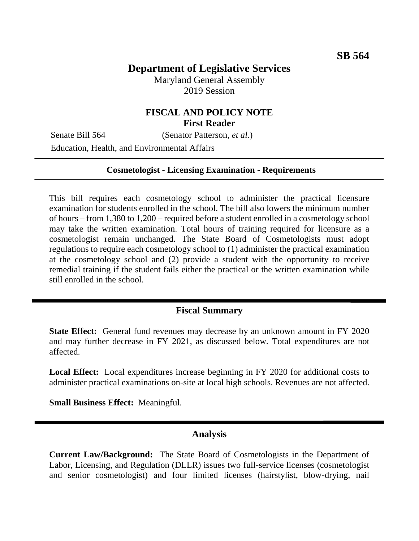# **Department of Legislative Services**

Maryland General Assembly 2019 Session

## **FISCAL AND POLICY NOTE First Reader**

Senate Bill 564 (Senator Patterson, *et al.*)

Education, Health, and Environmental Affairs

#### **Cosmetologist - Licensing Examination - Requirements**

This bill requires each cosmetology school to administer the practical licensure examination for students enrolled in the school. The bill also lowers the minimum number of hours – from 1,380 to 1,200 – required before a student enrolled in a cosmetology school may take the written examination. Total hours of training required for licensure as a cosmetologist remain unchanged. The State Board of Cosmetologists must adopt regulations to require each cosmetology school to (1) administer the practical examination at the cosmetology school and (2) provide a student with the opportunity to receive remedial training if the student fails either the practical or the written examination while still enrolled in the school.

### **Fiscal Summary**

**State Effect:** General fund revenues may decrease by an unknown amount in FY 2020 and may further decrease in FY 2021, as discussed below. Total expenditures are not affected.

**Local Effect:** Local expenditures increase beginning in FY 2020 for additional costs to administer practical examinations on-site at local high schools. Revenues are not affected.

**Small Business Effect:** Meaningful.

### **Analysis**

**Current Law/Background:** The State Board of Cosmetologists in the Department of Labor, Licensing, and Regulation (DLLR) issues two full-service licenses (cosmetologist and senior cosmetologist) and four limited licenses (hairstylist, blow-drying, nail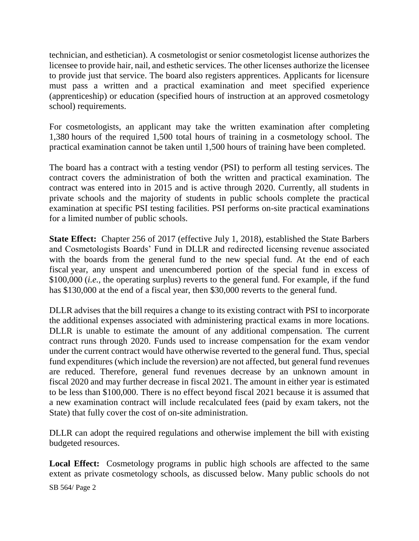technician, and esthetician). A cosmetologist or senior cosmetologist license authorizes the licensee to provide hair, nail, and esthetic services. The other licenses authorize the licensee to provide just that service. The board also registers apprentices. Applicants for licensure must pass a written and a practical examination and meet specified experience (apprenticeship) or education (specified hours of instruction at an approved cosmetology school) requirements.

For cosmetologists, an applicant may take the written examination after completing 1,380 hours of the required 1,500 total hours of training in a cosmetology school. The practical examination cannot be taken until 1,500 hours of training have been completed.

The board has a contract with a testing vendor (PSI) to perform all testing services. The contract covers the administration of both the written and practical examination. The contract was entered into in 2015 and is active through 2020. Currently, all students in private schools and the majority of students in public schools complete the practical examination at specific PSI testing facilities. PSI performs on-site practical examinations for a limited number of public schools.

**State Effect:** Chapter 256 of 2017 (effective July 1, 2018), established the State Barbers and Cosmetologists Boards' Fund in DLLR and redirected licensing revenue associated with the boards from the general fund to the new special fund. At the end of each fiscal year, any unspent and unencumbered portion of the special fund in excess of \$100,000 (*i.e.,* the operating surplus) reverts to the general fund. For example, if the fund has \$130,000 at the end of a fiscal year, then \$30,000 reverts to the general fund.

DLLR advises that the bill requires a change to its existing contract with PSI to incorporate the additional expenses associated with administering practical exams in more locations. DLLR is unable to estimate the amount of any additional compensation. The current contract runs through 2020. Funds used to increase compensation for the exam vendor under the current contract would have otherwise reverted to the general fund. Thus, special fund expenditures (which include the reversion) are not affected, but general fund revenues are reduced. Therefore, general fund revenues decrease by an unknown amount in fiscal 2020 and may further decrease in fiscal 2021. The amount in either year is estimated to be less than \$100,000. There is no effect beyond fiscal 2021 because it is assumed that a new examination contract will include recalculated fees (paid by exam takers, not the State) that fully cover the cost of on-site administration.

DLLR can adopt the required regulations and otherwise implement the bill with existing budgeted resources.

**Local Effect:** Cosmetology programs in public high schools are affected to the same extent as private cosmetology schools, as discussed below. Many public schools do not

SB 564/ Page 2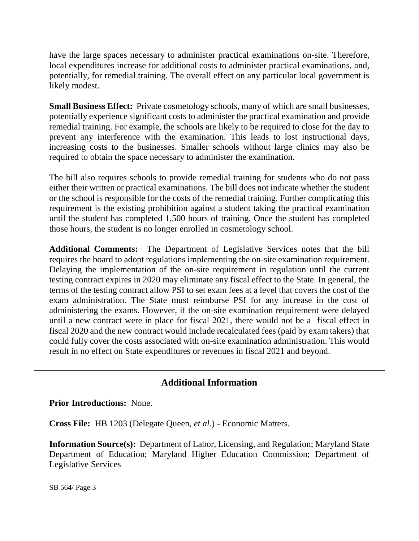have the large spaces necessary to administer practical examinations on-site. Therefore, local expenditures increase for additional costs to administer practical examinations, and, potentially, for remedial training. The overall effect on any particular local government is likely modest.

**Small Business Effect:** Private cosmetology schools, many of which are small businesses, potentially experience significant costs to administer the practical examination and provide remedial training. For example, the schools are likely to be required to close for the day to prevent any interference with the examination. This leads to lost instructional days, increasing costs to the businesses. Smaller schools without large clinics may also be required to obtain the space necessary to administer the examination.

The bill also requires schools to provide remedial training for students who do not pass either their written or practical examinations. The bill does not indicate whether the student or the school is responsible for the costs of the remedial training. Further complicating this requirement is the existing prohibition against a student taking the practical examination until the student has completed 1,500 hours of training. Once the student has completed those hours, the student is no longer enrolled in cosmetology school.

**Additional Comments:** The Department of Legislative Services notes that the bill requires the board to adopt regulations implementing the on-site examination requirement. Delaying the implementation of the on-site requirement in regulation until the current testing contract expires in 2020 may eliminate any fiscal effect to the State. In general, the terms of the testing contract allow PSI to set exam fees at a level that covers the cost of the exam administration. The State must reimburse PSI for any increase in the cost of administering the exams. However, if the on-site examination requirement were delayed until a new contract were in place for fiscal 2021, there would not be a fiscal effect in fiscal 2020 and the new contract would include recalculated fees (paid by exam takers) that could fully cover the costs associated with on-site examination administration. This would result in no effect on State expenditures or revenues in fiscal 2021 and beyond.

## **Additional Information**

**Prior Introductions:** None.

**Cross File:** HB 1203 (Delegate Queen, *et al.*) - Economic Matters.

**Information Source(s):** Department of Labor, Licensing, and Regulation; Maryland State Department of Education; Maryland Higher Education Commission; Department of Legislative Services